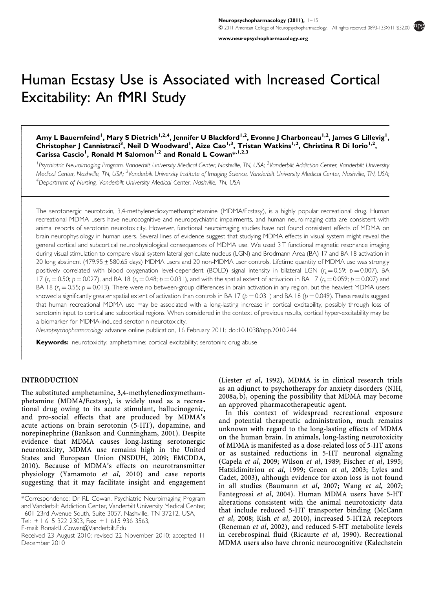[www.neuropsychopharmacology.org](http://www.neuropsychopharmacology.org)

# Human Ecstasy Use is Associated with Increased Cortical Excitability: An fMRI Study

Amy L Bauernfeind<sup>1</sup>, Mary S Dietrich<sup>1,2,4</sup>, Jennifer U Blackford<sup>1,2</sup>, Evonne J Charboneau<sup>1,2</sup>, James G Lillevig<sup>1</sup>, Christopher J Cannistraci<sup>3</sup>, Neil D Woodward<sup>1</sup>, Aize Cao<sup>1,3</sup>, Tristan Watkins<sup>1,2</sup>, Christina R Di Iorio<sup>1,2</sup>, Carissa Cascio<sup>1</sup>, Ronald M Salomon<sup>1,2</sup> and Ronald L Cowan<sup>\*,1,2,3</sup>

<sup>1</sup> Psychiatric Neuroimaging Program, Vanderbilt University Medical Center, Nashville, TN, USA; <sup>2</sup>Vanderbilt Addiction Center, Vanderbilt University Medical Center, Nashville, TN, USA; <sup>3</sup>Vanderbilt University Institute of Imaging Science, Vanderbilt University Medical Center, Nashville, TN, USA, <sup>4</sup>Departmmt of Nursing, Vanderbilt University Medical Center, Nashville, TN, USA

The serotonergic neurotoxin, 3,4-methylenedioxymethamphetamine (MDMA/Ecstasy), is a highly popular recreational drug. Human recreational MDMA users have neurocognitive and neuropsychiatric impairments, and human neuroimaging data are consistent with animal reports of serotonin neurotoxicity. However, functional neuroimaging studies have not found consistent effects of MDMA on brain neurophysiology in human users. Several lines of evidence suggest that studying MDMA effects in visual system might reveal the general cortical and subcortical neurophysiological consequences of MDMA use. We used 3 T functional magnetic resonance imaging during visual stimulation to compare visual system lateral geniculate nucleus (LGN) and Brodmann Area (BA) 17 and BA 18 activation in 20 long abstinent (479.95±580.65 days) MDMA users and 20 non-MDMA user controls. Lifetime quantity of MDMA use was strongly positively correlated with blood oxygenation level-dependent (BOLD) signal intensity in bilateral LGN ( $r_s = 0.59$ ;  $p = 0.007$ ), BA 17 ( $r_s$  = 0.50; p = 0.027), and BA 18 ( $r_s$  = 0.48; p = 0.031), and with the spatial extent of activation in BA 17 ( $r_s$  = 0.059; p = 0.007) and BA 18 ( $r_s$  = 0.55;  $p$  = 0.013). There were no between-group differences in brain activation in any region, but the heaviest MDMA users showed a significantly greater spatial extent of activation than controls in BA 17 ( $p = 0.031$ ) and BA 18 ( $p = 0.049$ ). These results suggest that human recreational MDMA use may be associated with a long-lasting increase in cortical excitability, possibly through loss of serotonin input to cortical and subcortical regions. When considered in the context of previous results, cortical hyper-excitability may be a biomarker for MDMA-induced serotonin neurotoxicity.

Neuropsychopharmacology advance online publication, 16 February 2011; doi:[10.1038/npp.2010.244](http://dx.doi.org/10.1038/npp.2010.244)

Keywords: neurotoxicity; amphetamine; cortical excitability; serotonin; drug abuse

# INTRODUCTION

- $\overline{1}$  $\overline{\phantom{a}}$  $\frac{1}{2}$  $\overline{\phantom{a}}$  $\overline{\phantom{a}}$  $\overline{\phantom{a}}$  $\frac{1}{2}$  $\overline{\phantom{a}}$  $\overline{\phantom{a}}$  $\overline{\phantom{a}}$  $\overline{\phantom{a}}$  $\frac{1}{2}$  $\overline{\phantom{a}}$  $\overline{\phantom{a}}$  $\overline{\phantom{a}}$  $\frac{1}{2}$ - $\overline{\phantom{a}}$  $\overline{\phantom{a}}$  $\overline{\phantom{a}}$  $\frac{1}{2}$  $\overline{\phantom{a}}$  $\overline{\phantom{a}}$  $\overline{\phantom{a}}$  $\frac{1}{2}$  $\overline{\phantom{a}}$  $\overline{\phantom{a}}$  $\overline{\phantom{a}}$  $\overline{\phantom{a}}$  $\frac{1}{2}$  $\overline{\phantom{a}}$  $\overline{\phantom{a}}$  $\overline{\phantom{a}}$  $\frac{1}{2}$  $\overline{\phantom{a}}$  $\overline{\phantom{a}}$  $\overline{\phantom{a}}$  $\frac{1}{2}$  $\overline{\phantom{a}}$  $\overline{\phantom{a}}$  $\overline{\phantom{a}}$  $\overline{\phantom{a}}$  $\frac{1}{2}$  $\overline{\phantom{a}}$  $\overline{\phantom{a}}$  $\overline{\phantom{a}}$  $\frac{1}{2}$  $\overline{\phantom{a}}$  $\overline{\phantom{a}}$  $\overline{\phantom{a}}$  $\overline{\phantom{a}}$  $\overline{\phantom{a}}$  $\overline{\phantom{a}}$ 

The substituted amphetamine, 3,4-methylenedioxymethamphetamine (MDMA/Ecstasy), is widely used as a recreational drug owing to its acute stimulant, hallucinogenic, and pro-social effects that are produced by MDMA's acute actions on brain serotonin (5-HT), dopamine, and norepinephrine [\(Bankson and Cunningham, 2001\)](#page-12-0). Despite evidence that MDMA causes long-lasting serotonergic neurotoxicity, MDMA use remains high in the United States and European Union ([NSDUH, 2009;](#page-14-0) [EMCDDA,](#page-12-0) [2010\)](#page-12-0). Because of MDMA's effects on neurotransmitter physiology ([Yamamoto](#page-14-0) et al, 2010) and case reports suggesting that it may facilitate insight and engagement

Tel: + 1 615 322 2303, Fax: + 1 615 936 3563,

E-mail: [Ronald.L.Cowan@Vanderbilt.Edu](mailto:Ronald.L.Cowan@Vanderbilt.Edu)

[\(Liester](#page-13-0) et al, 1992), MDMA is in clinical research trials as an adjunct to psychotherapy for anxiety disorders ([NIH,](#page-13-0) [2008a, b\)](#page-13-0), opening the possibility that MDMA may become an approved pharmacotherapeutic agent.

In this context of widespread recreational exposure and potential therapeutic administration, much remains unknown with regard to the long-lasting effects of MDMA on the human brain. In animals, long-lasting neurotoxicity of MDMA is manifested as a dose-related loss of 5-HT axons or as sustained reductions in 5-HT neuronal signaling [\(Capela](#page-12-0) et al, 2009; [Wilson](#page-14-0) et al, 1989; [Fischer](#page-13-0) et al, 1995; [Hatzidimitriou](#page-13-0) et al, 1999; Green et al[, 2003; Lyles and](#page-13-0) [Cadet, 2003\)](#page-13-0), although evidence for axon loss is not found in all studies [\(Baumann](#page-12-0) et al, 2007; Wang et al[, 2007;](#page-14-0) [Fantegrossi](#page-13-0) et al, 2004). Human MDMA users have 5-HT alterations consistent with the animal neurotoxicity data that include reduced 5-HT transporter binding [\(McCann](#page-13-0) et al[, 2008;](#page-13-0) Kish et al[, 2010\)](#page-13-0), increased 5-HT2A receptors [\(Reneman](#page-14-0) et al, 2002), and reduced 5-HT metabolite levels in cerebrospinal fluid ([Ricaurte](#page-14-0) et al, 1990). Recreational MDMA users also have chronic neurocognitive [\(Kalechstein](#page-13-0)

<sup>\*</sup>Correspondence: Dr RL Cowan, Psychiatric Neuroimaging Program and Vanderbilt Addiction Center, Vanderbilt University Medical Center, 1601 23rd Avenue South, Suite 3057, Nashville, TN 37212, USA,

Received 23 August 2010; revised 22 November 2010; accepted 11 December 2010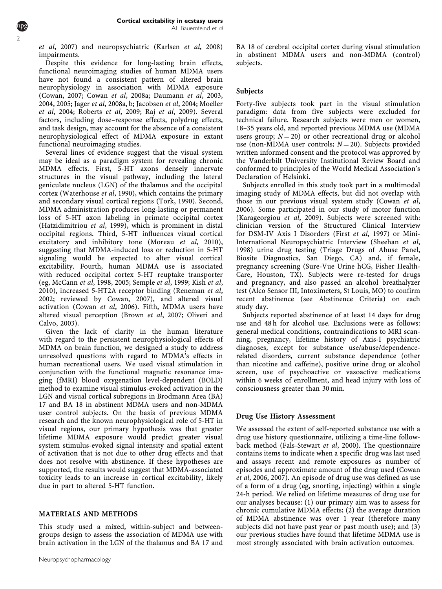et al[, 2007\)](#page-13-0) and neuropsychiatric ([Karlsen](#page-13-0) et al, 2008) impairments.

2

Despite this evidence for long-lasting brain effects, functional neuroimaging studies of human MDMA users have not found a consistent pattern of altered brain neurophysiology in association with MDMA exposure ([Cowan, 2007](#page-12-0); Cowan et al[, 2008a](#page-12-0); [Daumann](#page-12-0) et al, 2003, [2004, 2005](#page-12-0); Jager et al[, 2008a, b; Jacobsen](#page-13-0) et al, 2004; [Moeller](#page-13-0) et al[, 2004;](#page-13-0) [Roberts](#page-14-0) et al, 2009; Raj et al[, 2009](#page-14-0)). Several factors, including dose–response effects, polydrug effects, and task design, may account for the absence of a consistent neurophysiological effect of MDMA exposure in extant functional neuroimaging studies.

Several lines of evidence suggest that the visual system may be ideal as a paradigm system for revealing chronic MDMA effects. First, 5-HT axons densely innervate structures in the visual pathway, including the lateral geniculate nucleus (LGN) of the thalamus and the occipital cortex [\(Waterhouse](#page-14-0) et al, 1990), which contains the primary and secondary visual cortical regions [\(Tork, 1990](#page-14-0)). Second, MDMA administration produces long-lasting or permanent loss of 5-HT axon labeling in primate occipital cortex ([Hatzidimitriou](#page-13-0) et al, 1999), which is prominent in distal occipital regions. Third, 5-HT influences visual cortical excitatory and inhibitory tone ([Moreau](#page-13-0) et al, 2010), suggesting that MDMA-induced loss or reduction in 5-HT signaling would be expected to alter visual cortical excitability. Fourth, human MDMA use is associated with reduced occipital cortex 5-HT reuptake transporter (eg, McCann et al[, 1998, 2005;](#page-13-0) [Semple](#page-14-0) et al, 1999; [Kish](#page-13-0) et al, [2010](#page-13-0)), increased 5-HT2A receptor binding [\(Reneman](#page-14-0) et al, [2002](#page-14-0); reviewed by [Cowan, 2007](#page-12-0)), and altered visual activation ([Cowan](#page-12-0) et al, 2006). Fifth, MDMA users have altered visual perception ([Brown](#page-12-0) et al, 2007; [Oliveri and](#page-14-0) [Calvo, 2003\)](#page-14-0).

Given the lack of clarity in the human literature with regard to the persistent neurophysiological effects of MDMA on brain function, we designed a study to address unresolved questions with regard to MDMA's effects in human recreational users. We used visual stimulation in conjunction with the functional magnetic resonance imaging (fMRI) blood oxygenation level-dependent (BOLD) method to examine visual stimulus-evoked activation in the LGN and visual cortical subregions in Brodmann Area (BA) 17 and BA 18 in abstinent MDMA users and non-MDMA user control subjects. On the basis of previous MDMA research and the known neurophysiological role of 5-HT in visual regions, our primary hypothesis was that greater lifetime MDMA exposure would predict greater visual system stimulus-evoked signal intensity and spatial extent of activation that is not due to other drug effects and that does not resolve with abstinence. If these hypotheses are supported, the results would suggest that MDMA-associated toxicity leads to an increase in cortical excitability, likely due in part to altered 5-HT function.

# MATERIALS AND METHODS

This study used a mixed, within-subject and betweengroups design to assess the association of MDMA use with brain activation in the LGN of the thalamus and BA 17 and

BA 18 of cerebral occipital cortex during visual stimulation in abstinent MDMA users and non-MDMA (control) subjects.

# Subjects

Forty-five subjects took part in the visual stimulation paradigm: data from five subjects were excluded for technical failure. Research subjects were men or women, 18–35 years old, and reported previous MDMA use (MDMA users group;  $N = 20$ ) or other recreational drug or alcohol use (non-MDMA user controls;  $N = 20$ ). Subjects provided written informed consent and the protocol was approved by the Vanderbilt University Institutional Review Board and conformed to principles of the World Medical Association's Declaration of Helsinki.

Subjects enrolled in this study took part in a multimodal imaging study of MDMA effects, but did not overlap with those in our previous visual system study ([Cowan](#page-12-0) et al, [2006](#page-12-0)). Some participated in our study of motor function ([Karageorgiou](#page-13-0) et al, 2009). Subjects were screened with: clinician version of the Structured Clinical Interview for DSM-IV Axis I Disorders (First et al[, 1997\)](#page-13-0) or Mini-International Neuropsychiatric Interview [\(Sheehan](#page-14-0) et al, [1998](#page-14-0)) urine drug testing (Triage Drugs of Abuse Panel, Biosite Diagnostics, San Diego, CA) and, if female, pregnancy screening (Sure-Vue Urine hCG, Fisher Health-Care, Houston, TX). Subjects were re-tested for drugs and pregnancy, and also passed an alcohol breathalyzer test (Alco Sensor III, Intoximeters, St Louis, MO) to confirm recent abstinence (see Abstinence Criteria) on each study day.

Subjects reported abstinence of at least 14 days for drug use and 48 h for alcohol use. Exclusions were as follows: general medical conditions, contraindications to MRI scanning, pregnancy, lifetime history of Axis-I psychiatric diagnoses, except for substance use/abuse/dependencerelated disorders, current substance dependence (other than nicotine and caffeine), positive urine drug or alcohol screen, use of psychoactive or vasoactive medications within 6 weeks of enrollment, and head injury with loss of consciousness greater than 30 min.

# Drug Use History Assessment

We assessed the extent of self-reported substance use with a drug use history questionnaire, utilizing a time-line followback method ([Fals-Stewart](#page-13-0) et al, 2000). The questionnaire contains items to indicate when a specific drug was last used and assays recent and remote exposures as number of episodes and approximate amount of the drug used [\(Cowan](#page-12-0) et al[, 2006, 2007](#page-12-0)). An episode of drug use was defined as use of a form of a drug (eg, snorting, injecting) within a single 24-h period. We relied on lifetime measures of drug use for our analyses because: (1) our primary aim was to assess for chronic cumulative MDMA effects; (2) the average duration of MDMA abstinence was over 1 year (therefore many subjects did not have past year or past month use); and (3) our previous studies have found that lifetime MDMA use is most strongly associated with brain activation outcomes.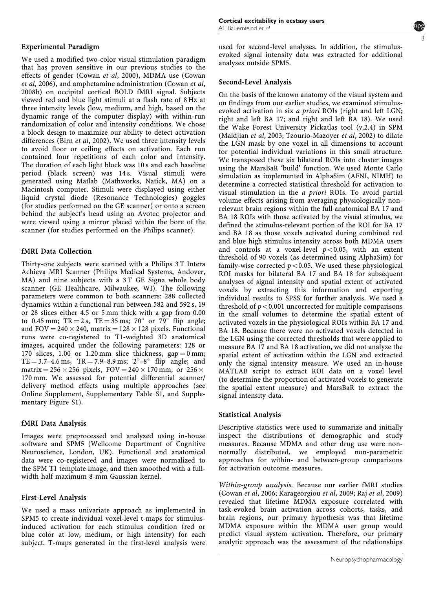

We used a modified two-color visual stimulation paradigm that has proven sensitive in our previous studies to the effects of gender ([Cowan](#page-12-0) et al, 2000), MDMA use (Cowan et al[, 2006](#page-12-0)), and amphetamine administration [\(Cowan](#page-12-0) et al, [2008b](#page-12-0)) on occipital cortical BOLD fMRI signal. Subjects viewed red and blue light stimuli at a flash rate of 8 Hz at three intensity levels (low, medium, and high, based on the dynamic range of the computer display) with within-run randomization of color and intensity conditions. We chose a block design to maximize our ability to detect activation differences (Birn et al[, 2002\)](#page-12-0). We used three intensity levels to avoid floor or ceiling effects on activation. Each run contained four repetitions of each color and intensity. The duration of each light block was 10 s and each baseline period (black screen) was 14 s. Visual stimuli were generated using Matlab (Mathworks, Natick, MA) on a Macintosh computer. Stimuli were displayed using either liquid crystal diode (Resonance Technologies) goggles (for studies performed on the GE scanner) or onto a screen behind the subject's head using an Avotec projector and were viewed using a mirror placed within the bore of the scanner (for studies performed on the Philips scanner).

# fMRI Data Collection

Thirty-one subjects were scanned with a Philips 3 T Intera Achieva MRI Scanner (Philips Medical Systems, Andover, MA) and nine subjects with a 3T GE Signa whole body scanner (GE Healthcare, Milwaukee, WI). The following parameters were common to both scanners: 288 collected dynamics within a functional run between 582 and 592 s, 19 or 28 slices either 4.5 or 5 mm thick with a gap from 0.00 to 0.45 mm;  $TR = 2 s$ ,  $TE = 35$  ms;  $70^{\circ}$  or  $79^{\circ}$  flip angle; and FOV = 240  $\times$  240, matrix = 128  $\times$  128 pixels. Functional runs were co-registered to T1-weighted 3D anatomical images, acquired under the following parameters: 128 or 170 slices, 1.00 or 1.20 mm slice thickness, gap  $= 0$  mm; TE = 3.7–4.6 ms, TR = 7.9–8.9 ms;  $2^{\circ}-8^{\circ}$  flip angle; and matrix = 256  $\times$  256 pixels, FOV = 240  $\times$  170 mm, or 256  $\times$ 170 mm. We assessed for potential differential scanner/ delivery method effects using multiple approaches (see Online Supplement, Supplementary Table S1, and Supplementary Figure S1).

# fMRI Data Analysis

Images were preprocessed and analyzed using in-house software and SPM5 (Wellcome Department of Cognitive Neuroscience, London, UK). Functional and anatomical data were co-registered and images were normalized to the SPM T1 template image, and then smoothed with a fullwidth half maximum 8-mm Gaussian kernel.

## First-Level Analysis

We used a mass univariate approach as implemented in SPM5 to create individual voxel-level t-maps for stimulusinduced activation for each stimulus condition (red or blue color at low, medium, or high intensity) for each subject. T-maps generated in the first-level analysis were used for second-level analyses. In addition, the stimulusevoked signal intensity data was extracted for additional analyses outside SPM5.

# Second-Level Analysis

On the basis of the known anatomy of the visual system and on findings from our earlier studies, we examined stimulusevoked activation in six a priori ROIs (right and left LGN; right and left BA 17; and right and left BA 18). We used the Wake Forest University Pickatlas tool (v.2.4) in SPM [\(Maldjian](#page-13-0) et al, 2003; [Tzourio-Mazoyer](#page-14-0) et al, 2002) to dilate the LGN mask by one voxel in all dimensions to account for potential individual variations in this small structure. We transposed these six bilateral ROIs into cluster images using the MarsBaR 'build' function. We used Monte Carlo simulation as implemented in AlphaSim (AFNI, NIMH) to determine a corrected statistical threshold for activation to visual stimulation in the a priori ROIs. To avoid partial volume effects arising from averaging physiologically nonrelevant brain regions within the full anatomical BA 17 and BA 18 ROIs with those activated by the visual stimulus, we defined the stimulus-relevant portion of the ROI for BA 17 and BA 18 as those voxels activated during combined red and blue high stimulus intensity across both MDMA users and controls at a voxel-level  $p < 0.05$ , with an extent threshold of 90 voxels (as determined using AlphaSim) for family-wise corrected  $p < 0.05$ . We used these physiological ROI masks for bilateral BA 17 and BA 18 for subsequent analyses of signal intensity and spatial extent of activated voxels by extracting this information and exporting individual results to SPSS for further analysis. We used a threshold of  $p < 0.001$  uncorrected for multiple comparisons in the small volumes to determine the spatial extent of activated voxels in the physiological ROIs within BA 17 and BA 18. Because there were no activated voxels detected in the LGN using the corrected thresholds that were applied to measure BA 17 and BA 18 activation, we did not analyze the spatial extent of activation within the LGN and extracted only the signal intensity measure. We used an in-house MATLAB script to extract ROI data on a voxel level (to determine the proportion of activated voxels to generate the spatial extent measure) and MarsBaR to extract the signal intensity data.

# Statistical Analysis

Descriptive statistics were used to summarize and initially inspect the distributions of demographic and study measures. Because MDMA and other drug use were nonnormally distributed, we employed non-parametric approaches for within- and between-group comparisons for activation outcome measures.

Within-group analysis. Because our earlier fMRI studies [\(Cowan](#page-12-0) et al, 2006; [Karageorgiou](#page-13-0) et al, 2009; Raj et al[, 2009](#page-14-0)) revealed that lifetime MDMA exposure correlated with task-evoked brain activation across cohorts, tasks, and brain regions, our primary hypothesis was that lifetime MDMA exposure within the MDMA user group would predict visual system activation. Therefore, our primary analytic approach was the assessment of the relationships

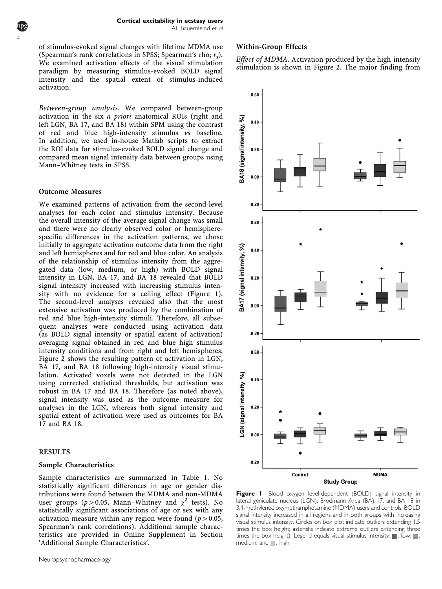of stimulus-evoked signal changes with lifetime MDMA use (Spearman's rank correlations in SPSS; Spearman's rho;  $r_s$ ). We examined activation effects of the visual stimulation paradigm by measuring stimulus-evoked BOLD signal intensity and the spatial extent of stimulus-induced activation.

Between-group analysis. We compared between-group activation in the six a priori anatomical ROIs (right and left LGN, BA 17, and BA 18) within SPM using the contrast of red and blue high-intensity stimulus vs baseline. In addition, we used in-house Matlab scripts to extract the ROI data for stimulus-evoked BOLD signal change and compared mean signal intensity data between groups using Mann–Whitney tests in SPSS.

# Outcome Measures

We examined patterns of activation from the second-level analyses for each color and stimulus intensity. Because the overall intensity of the average signal change was small and there were no clearly observed color or hemispherespecific differences in the activation patterns, we chose initially to aggregate activation outcome data from the right and left hemispheres and for red and blue color. An analysis of the relationship of stimulus intensity from the aggregated data (low, medium, or high) with BOLD signal intensity in LGN, BA 17, and BA 18 revealed that BOLD signal intensity increased with increasing stimulus intensity with no evidence for a ceiling effect (Figure 1). The second-level analyses revealed also that the most extensive activation was produced by the combination of red and blue high-intensity stimuli. Therefore, all subsequent analyses were conducted using activation data (as BOLD signal intensity or spatial extent of activation) averaging signal obtained in red and blue high stimulus intensity conditions and from right and left hemispheres. [Figure 2](#page-4-0) shows the resulting pattern of activation in LGN, BA 17, and BA 18 following high-intensity visual stimulation. Activated voxels were not detected in the LGN using corrected statistical thresholds, but activation was robust in BA 17 and BA 18. Therefore (as noted above), signal intensity was used as the outcome measure for analyses in the LGN, whereas both signal intensity and spatial extent of activation were used as outcomes for BA 17 and BA 18.

# RESULTS

## Sample Characteristics

Sample characteristics are summarized in [Table 1](#page-5-0). No statistically significant differences in age or gender distributions were found between the MDMA and non-MDMA user groups ( $p>0.05$ , Mann–Whitney and  $\chi^2$  tests). No statistically significant associations of age or sex with any activation measure within any region were found ( $p > 0.05$ , Spearman's rank correlations). Additional sample characteristics are provided in Online Supplement in Section 'Additional Sample Characteristics'.

# Within-Group Effects

Effect of MDMA. Activation produced by the high-intensity stimulation is shown in [Figure 2](#page-4-0). The major finding from



Figure I Blood oxygen level-dependent (BOLD) signal intensity in lateral geniculate nucleus (LGN), Brodmann Area (BA) 17, and BA 18 in 3,4-methylenedioxymethamphetamine (MDMA) users and controls. BOLD signal intensity increased in all regions and in both groups with increasing visual stimulus intensity. Circles on box plot indicate outliers extending 1.5 times the box height; asterisks indicate extreme outliers extending three times the box height). Legend equals visual stimulus intensity:  $\blacksquare$ , low;  $\blacksquare$ , medium; and  $\blacksquare$ , high.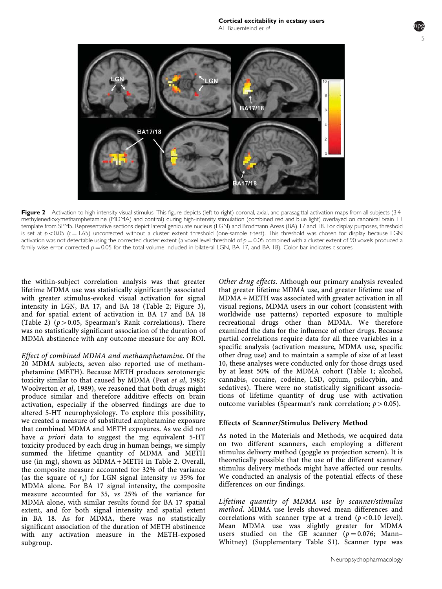5

<span id="page-4-0"></span>

Figure 2 Activation to high-intensity visual stimulus. This figure depicts (left to right) coronal, axial, and parasagittal activation maps from all subjects (3.4methylenedioxymethamphetamine (MDMA) and control) during high-intensity stimulation (combined red and blue light) overlayed on canonical brain T1 template from SPM5. Representative sections depict lateral geniculate nucleus (LGN) and Brodmann Areas (BA) 17 and 18. For display purposes, threshold is set at  $p < 0.05$  (t = 1.65) uncorrected without a cluster extent threshold (one-sample t-test). This threshold was chosen for display because LGN activation was not detectable using the corrected cluster extent (a voxel level threshold of  $p = 0.05$  combined with a cluster extent of 90 voxels produced a family-wise error corrected  $p = 0.05$  for the total volume included in bilateral LGN, BA 17, and BA 18). Color bar indicates t-scores.

the within-subject correlation analysis was that greater lifetime MDMA use was statistically significantly associated with greater stimulus-evoked visual activation for signal intensity in LGN, BA 17, and BA 18 [\(Table 2](#page-6-0); [Figure 3\)](#page-7-0), and for spatial extent of activation in BA 17 and BA 18 [\(Table 2\)](#page-6-0)  $(p>0.05,$  Spearman's Rank correlations). There was no statistically significant association of the duration of MDMA abstinence with any outcome measure for any ROI.

Effect of combined MDMA and methamphetamine. Of the 20 MDMA subjects, seven also reported use of methamphetamine (METH). Because METH produces serotonergic toxicity similar to that caused by MDMA (Peat et al[, 1983;](#page-14-0) [Woolverton](#page-14-0) et al, 1989), we reasoned that both drugs might produce similar and therefore additive effects on brain activation, especially if the observed findings are due to altered 5-HT neurophysiology. To explore this possibility, we created a measure of substituted amphetamine exposure that combined MDMA and METH exposures. As we did not have *a priori* data to suggest the mg equivalent 5-HT toxicity produced by each drug in human beings, we simply summed the lifetime quantity of MDMA and METH use (in mg), shown as MDMA + METH in [Table 2](#page-6-0). Overall, the composite measure accounted for 32% of the variance (as the square of  $r_s$ ) for LGN signal intensity vs 35% for MDMA alone. For BA 17 signal intensity, the composite measure accounted for 35, vs 25% of the variance for MDMA alone, with similar results found for BA 17 spatial extent, and for both signal intensity and spatial extent in BA 18. As for MDMA, there was no statistically significant association of the duration of METH abstinence with any activation measure in the METH-exposed subgroup.

Other drug effects. Although our primary analysis revealed that greater lifetime MDMA use, and greater lifetime use of MDMA + METH was associated with greater activation in all visual regions, MDMA users in our cohort (consistent with worldwide use patterns) reported exposure to multiple recreational drugs other than MDMA. We therefore examined the data for the influence of other drugs. Because partial correlations require data for all three variables in a specific analysis (activation measure, MDMA use, specific other drug use) and to maintain a sample of size of at least 10, these analyses were conducted only for those drugs used by at least 50% of the MDMA cohort ([Table 1](#page-5-0); alcohol, cannabis, cocaine, codeine, LSD, opium, psilocybin, and sedatives). There were no statistically significant associations of lifetime quantity of drug use with activation outcome variables (Spearman's rank correlation;  $p > 0.05$ ).

# Effects of Scanner/Stimulus Delivery Method

As noted in the Materials and Methods, we acquired data on two different scanners, each employing a different stimulus delivery method (goggle vs projection screen). It is theoretically possible that the use of the different scanner/ stimulus delivery methods might have affected our results. We conducted an analysis of the potential effects of these differences on our findings.

Lifetime quantity of MDMA use by scanner/stimulus method. MDMA use levels showed mean differences and correlations with scanner type at a trend  $(p<0.10$  level). Mean MDMA use was slightly greater for MDMA users studied on the GE scanner ( $p = 0.076$ ; Mann– Whitney) (Supplementary Table S1). Scanner type was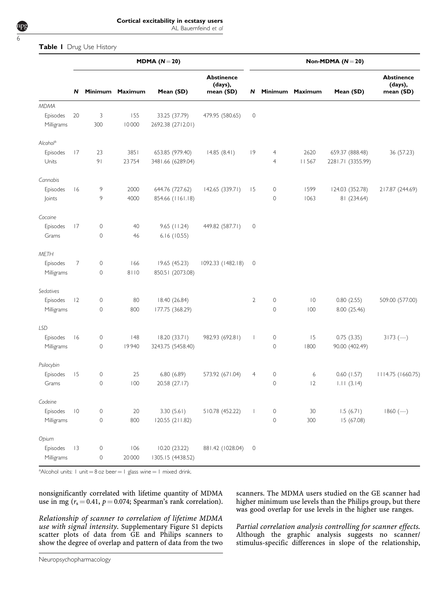<span id="page-5-0"></span>Table I Drug Use History

|                        | MDMA $(N=20)$   |                     |                 |                                    |                                           | Non-MDMA $(N=20)$   |                     |                 |                   |                                           |  |
|------------------------|-----------------|---------------------|-----------------|------------------------------------|-------------------------------------------|---------------------|---------------------|-----------------|-------------------|-------------------------------------------|--|
|                        | N               |                     | Minimum Maximum | Mean (SD)                          | <b>Abstinence</b><br>(days),<br>mean (SD) | N                   |                     | Minimum Maximum | Mean (SD)         | <b>Abstinence</b><br>(days),<br>mean (SD) |  |
| <b>MDMA</b>            |                 |                     |                 |                                    |                                           |                     |                     |                 |                   |                                           |  |
| Episodes<br>Milligrams | 20              | 3<br>300            | 155<br>10000    | 33.25 (37.79)<br>2692.38 (2712.01) | 479.95 (580.65)                           | $\mathsf{O}\xspace$ |                     |                 |                   |                                           |  |
| Alcohol <sup>a</sup>   |                 |                     |                 |                                    |                                           |                     |                     |                 |                   |                                           |  |
| Episodes               | 17              | 23                  | 3851            | 653.85 (979.40)                    | 14.85(8.41)                               | 9                   | 4                   | 2620            | 659.37 (888.48)   | 36 (57.23)                                |  |
| Units                  |                 | 91                  | 23754           | 3481.66 (6289.04)                  |                                           |                     | 4                   | 11567           | 2281.71 (3355.99) |                                           |  |
| Cannabis               |                 |                     |                 |                                    |                                           |                     |                     |                 |                   |                                           |  |
| Episodes               | 16              | 9                   | 2000            | 644.76 (727.62)                    | 142.65 (339.71)                           | 15                  | 0                   | 1599            | 124.03 (352.78)   | 217.87 (244.69)                           |  |
| Joints                 |                 | 9                   | 4000            | 854.66 (1161.18)                   |                                           |                     | 0                   | 1063            | 81 (234.64)       |                                           |  |
| Cocaine                |                 |                     |                 |                                    |                                           |                     |                     |                 |                   |                                           |  |
| Episodes               | 17              | 0                   | 40              | $9.65$ (11.24)                     | 449.82 (587.71)                           | $\mathsf{O}\xspace$ |                     |                 |                   |                                           |  |
| Grams                  |                 | 0                   | 46              | 6.16(10.55)                        |                                           |                     |                     |                 |                   |                                           |  |
| METH                   |                 |                     |                 |                                    |                                           |                     |                     |                 |                   |                                           |  |
| Episodes               | 7               | 0                   | 166             | 19.65 (45.23)                      | 1092.33 (1482.18)                         | $\circ$             |                     |                 |                   |                                           |  |
| Milligrams             |                 | 0                   | 8110            | 850.51 (2073.08)                   |                                           |                     |                     |                 |                   |                                           |  |
| Sedatives              |                 |                     |                 |                                    |                                           |                     |                     |                 |                   |                                           |  |
| Episodes               | 2               | $\circ$             | 80              | 18.40 (26.84)                      |                                           | $\overline{2}$      | 0                   | $\overline{10}$ | 0.80(2.55)        | 509.00 (577.00)                           |  |
| Milligrams             |                 | 0                   | 800             | 177.75 (368.29)                    |                                           |                     | $\mathsf{O}\xspace$ | 100             | 8.00 (25.46)      |                                           |  |
| LSD                    |                 |                     |                 |                                    |                                           |                     |                     |                 |                   |                                           |  |
| Episodes               | 16              | $\circ$             | 148             | 18.20 (33.71)                      | 982.93 (692.81)                           | $\mathbf{I}$        | $\mathsf{O}\xspace$ | 15              | 0.75(3.35)        | $3173 (-)$                                |  |
| Milligrams             |                 | 0                   | 19940           | 3243.75 (5458.40)                  |                                           |                     | 0                   | 1800            | 90.00 (402.49)    |                                           |  |
| Psilocybin             |                 |                     |                 |                                    |                                           |                     |                     |                 |                   |                                           |  |
| Episodes               | 15              | $\circ$             | 25              | 6.80 (6.89)                        | 573.92 (671.04)                           | $\overline{4}$      | 0                   | 6               | $0.60$ (1.57)     | 1114.75 (1660.75)                         |  |
| Grams                  |                 | 0                   | 100             | 20.58 (27.17)                      |                                           |                     | 0                   | 12              | 1.11(3.14)        |                                           |  |
| Codeine                |                 |                     |                 |                                    |                                           |                     |                     |                 |                   |                                           |  |
| Episodes               | $\overline{10}$ | 0                   | $20\,$          | 3.30(5.61)                         | 510.78 (452.22)                           | $\mathbf{I}$        | 0                   | 30              | 1.5(6.71)         | $1860 (-)$                                |  |
| Milligrams             |                 | $\mathsf{O}\xspace$ | 800             | 120.55 (211.82)                    |                                           |                     | 0                   | 300             | 15 (67.08)        |                                           |  |
| Opium                  |                 |                     |                 |                                    |                                           |                     |                     |                 |                   |                                           |  |
| Episodes               | 3               | $\mathbb O$         | 106             | 10.20 (23.22)                      | 881.42 (1028.04)                          | $\mathbf 0$         |                     |                 |                   |                                           |  |
| Milligrams             |                 | $\mathsf{O}\xspace$ | 20 000          | 1305.15 (4438.52)                  |                                           |                     |                     |                 |                   |                                           |  |

<sup>a</sup> Alcohol units:  $1 \text{ unit} = 8 \text{ oz } \text{ beer} = 1 \text{ glass } \text{ wine} = 1 \text{ mixed drink.}$ 

nonsignificantly correlated with lifetime quantity of MDMA use in mg ( $r_s = 0.41$ ,  $p = 0.074$ ; Spearman's rank correlation).

Relationship of scanner to correlation of lifetime MDMA use with signal intensity. Supplementary Figure S1 depicts scatter plots of data from GE and Philips scanners to show the degree of overlap and pattern of data from the two scanners. The MDMA users studied on the GE scanner had higher minimum use levels than the Philips group, but there was good overlap for use levels in the higher use ranges.

Partial correlation analysis controlling for scanner effects. Although the graphic analysis suggests no scanner/ stimulus-specific differences in slope of the relationship,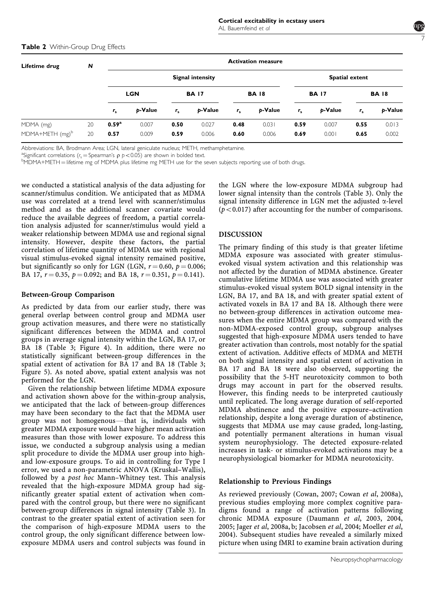<span id="page-6-0"></span>

Abbreviations: BA, Brodmann Area; LGN, lateral geniculate nucleus; METH, methamphetamine.

<sup>a</sup> Significant correlations ( $r_s$  = Spearman's  $\rho$  p < 0.05) are shown in bolded text.<br><sup>b</sup>MDMA+METH – lifetime mg of MDMA plus lifetime mg METH use for the s

<sup>b</sup>MDMA+METH = lifetime mg of MDMA plus lifetime mg METH use for the seven subjects reporting use of both drugs.

we conducted a statistical analysis of the data adjusting for scanner/stimulus condition. We anticipated that as MDMA use was correlated at a trend level with scanner/stimulus method and as the additional scanner covariate would reduce the available degrees of freedom, a partial correlation analysis adjusted for scanner/stimulus would yield a weaker relationship between MDMA use and regional signal intensity. However, despite these factors, the partial correlation of lifetime quantity of MDMA use with regional visual stimulus-evoked signal intensity remained positive, but significantly so only for LGN (LGN,  $r = 0.60$ ,  $p = 0.006$ ; BA 17,  $r = 0.35$ ,  $p = 0.092$ ; and BA 18,  $r = 0.351$ ,  $p = 0.141$ ).

#### Between-Group Comparison

As predicted by data from our earlier study, there was general overlap between control group and MDMA user group activation measures, and there were no statistically significant differences between the MDMA and control groups in average signal intensity within the LGN, BA 17, or BA 18 [\(Table 3](#page-8-0); [Figure 4\)](#page-9-0). In addition, there were no statistically significant between-group differences in the spatial extent of activation for BA 17 and BA 18 [\(Table 3;](#page-8-0) [Figure 5\)](#page-10-0). As noted above, spatial extent analysis was not performed for the LGN.

Given the relationship between lifetime MDMA exposure and activation shown above for the within-group analysis, we anticipated that the lack of between-group differences may have been secondary to the fact that the MDMA user group was not homogenous-that is, individuals with greater MDMA exposure would have higher mean activation measures than those with lower exposure. To address this issue, we conducted a subgroup analysis using a median split procedure to divide the MDMA user group into highand low-exposure groups. To aid in controlling for Type I error, we used a non-parametric ANOVA (Kruskal–Wallis), followed by a post hoc Mann–Whitney test. This analysis revealed that the high-exposure MDMA group had significantly greater spatial extent of activation when compared with the control group, but there were no significant between-group differences in signal intensity ([Table 3](#page-8-0)). In contrast to the greater spatial extent of activation seen for the comparison of high-exposure MDMA users to the control group, the only significant difference between lowexposure MDMA users and control subjects was found in the LGN where the low-exposure MDMA subgroup had lower signal intensity than the controls ([Table 3](#page-8-0)). Only the signal intensity difference in LGN met the adjusted  $\alpha$ -level  $(p<0.017)$  after accounting for the number of comparisons.

# DISCUSSION

The primary finding of this study is that greater lifetime MDMA exposure was associated with greater stimulusevoked visual system activation and this relationship was not affected by the duration of MDMA abstinence. Greater cumulative lifetime MDMA use was associated with greater stimulus-evoked visual system BOLD signal intensity in the LGN, BA 17, and BA 18, and with greater spatial extent of activated voxels in BA 17 and BA 18. Although there were no between-group differences in activation outcome measures when the entire MDMA group was compared with the non-MDMA-exposed control group, subgroup analyses suggested that high-exposure MDMA users tended to have greater activation than controls, most notably for the spatial extent of activation. Additive effects of MDMA and METH on both signal intensity and spatial extent of activation in BA 17 and BA 18 were also observed, supporting the possibility that the 5-HT neurotoxicity common to both drugs may account in part for the observed results. However, this finding needs to be interpreted cautiously until replicated. The long average duration of self-reported MDMA abstinence and the positive exposure–activation relationship, despite a long average duration of abstinence, suggests that MDMA use may cause graded, long-lasting, and potentially permanent alterations in human visual system neurophysiology. The detected exposure-related increases in task- or stimulus-evoked activations may be a neurophysiological biomarker for MDMA neurotoxicity.

## Relationship to Previous Findings

As reviewed previously ([Cowan, 2007;](#page-12-0) Cowan et al[, 2008a\)](#page-12-0), previous studies employing more complex cognitive paradigms found a range of activation patterns following chronic MDMA exposure (Daumann et al[, 2003, 2004,](#page-12-0) [2005;](#page-12-0) Jager et al[, 2008a, b](#page-13-0); [Jacobsen](#page-13-0) et al, 2004; [Moeller](#page-13-0) et al, [2004\)](#page-13-0). Subsequent studies have revealed a similarly mixed picture when using fMRI to examine brain activation during

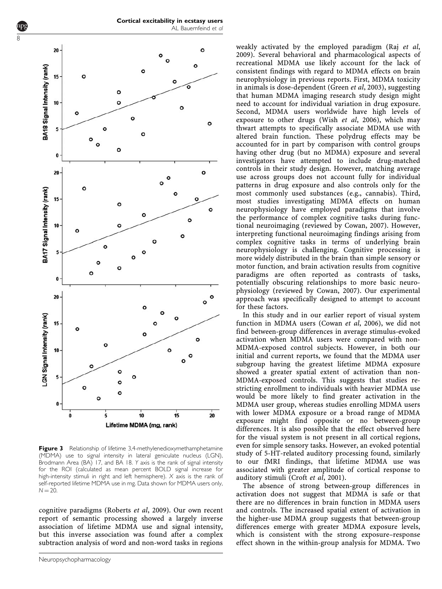<span id="page-7-0"></span>

Figure 3 Relationship of lifetime 3,4-methylenedioxymethamphetamine (MDMA) use to signal intensity in lateral geniculate nucleus (LGN), Brodmann Area (BA) 17, and BA 18. Y axis is the rank of signal intensity for the ROI (calculated as mean percent BOLD signal increase for high-intensity stimuli in right and left hemisphere).  $X$  axis is the rank of self-reported lifetime MDMA use in mg. Data shown for MDMA users only,  $N = 20.$ 

cognitive paradigms ([Roberts](#page-14-0) et al, 2009). Our own recent report of semantic processing showed a largely inverse association of lifetime MDMA use and signal intensity, but this inverse association was found after a complex subtraction analysis of word and non-word tasks in regions

Neuropsychopharmacology

weakly activated by the employed paradigm (Raj [et al](#page-14-0), [2009](#page-14-0)). Several behavioral and pharmacological aspects of recreational MDMA use likely account for the lack of consistent findings with regard to MDMA effects on brain neurophysiology in previous reports. First, MDMA toxicity in animals is dose-dependent [\(Green](#page-13-0) et al, 2003), suggesting that human MDMA imaging research study design might need to account for individual variation in drug exposure. Second, MDMA users worldwide have high levels of exposure to other drugs (Wish et al[, 2006\)](#page-14-0), which may thwart attempts to specifically associate MDMA use with altered brain function. These polydrug effects may be accounted for in part by comparison with control groups having other drug (but no MDMA) exposure and several investigators have attempted to include drug-matched controls in their study design. However, matching average use across groups does not account fully for individual patterns in drug exposure and also controls only for the most commonly used substances (e.g., cannabis). Third, most studies investigating MDMA effects on human neurophysiology have employed paradigms that involve the performance of complex cognitive tasks during functional neuroimaging (reviewed by [Cowan, 2007\)](#page-12-0). However, interpreting functional neuroimaging findings arising from complex cognitive tasks in terms of underlying brain neurophysiology is challenging. Cognitive processing is more widely distributed in the brain than simple sensory or motor function, and brain activation results from cognitive paradigms are often reported as contrasts of tasks, potentially obscuring relationships to more basic neurophysiology (reviewed by [Cowan, 2007](#page-12-0)). Our experimental approach was specifically designed to attempt to account for these factors.

In this study and in our earlier report of visual system function in MDMA users [\(Cowan](#page-12-0) et al, 2006), we did not find between-group differences in average stimulus-evoked activation when MDMA users were compared with non-MDMA-exposed control subjects. However, in both our initial and current reports, we found that the MDMA user subgroup having the greatest lifetime MDMA exposure showed a greater spatial extent of activation than non-MDMA-exposed controls. This suggests that studies restricting enrollment to individuals with heavier MDMA use would be more likely to find greater activation in the MDMA user group, whereas studies enrolling MDMA users with lower MDMA exposure or a broad range of MDMA exposure might find opposite or no between-group differences. It is also possible that the effect observed here for the visual system is not present in all cortical regions, even for simple sensory tasks. However, an evoked potential study of 5-HT-related auditory processing found, similarly to our fMRI findings, that lifetime MDMA use was associated with greater amplitude of cortical response to auditory stimuli (Croft et al[, 2001\)](#page-12-0).

The absence of strong between-group differences in activation does not suggest that MDMA is safe or that there are no differences in brain function in MDMA users and controls. The increased spatial extent of activation in the higher-use MDMA group suggests that between-group differences emerge with greater MDMA exposure levels, which is consistent with the strong exposure–response effect shown in the within-group analysis for MDMA. Two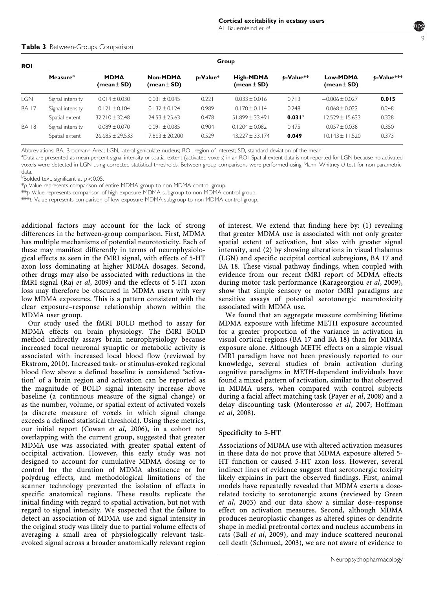# <span id="page-8-0"></span>Table 3 Between-Groups Comparison

| <b>ROI</b>   | Group                |                                |                             |                  |                              |                 |                             |                    |  |  |  |
|--------------|----------------------|--------------------------------|-----------------------------|------------------|------------------------------|-----------------|-----------------------------|--------------------|--|--|--|
|              | Measure <sup>a</sup> | <b>MDMA</b><br>(mean $\pm$ SD) | Non-MDMA<br>(mean $\pm$ SD) | <i>b</i> -Value* | High-MDMA<br>(mean $\pm$ SD) | p-Value**       | Low-MDMA<br>(mean $\pm$ SD) | <b>p-Value</b> *** |  |  |  |
| <b>LGN</b>   | Signal intensity     | $0.014 \pm 0.030$              | $0.031 \pm 0.045$           | 0.221            | $0.033 \pm 0.016$            | 0.713           | $-0.006 \pm 0.027$          | 0.015              |  |  |  |
| <b>BA 17</b> | Signal intensity     | $0.121 \pm 0.104$              | $0.132 \pm 0.124$           | 0.989            | $0.170 \pm 0.114$            | 0.248           | $0.068 \pm 0.022$           | 0.248              |  |  |  |
|              | Spatial extent       | $32.210 \pm 32.48$             | $24.53 \pm 25.63$           | 0.478            | $51.899 \pm 33.491$          | $0.031^{\circ}$ | $12.529 \pm 15.633$         | 0.328              |  |  |  |
| <b>BA 18</b> | Signal intensity     | $0.089 \pm 0.070$              | $0.091 \pm 0.085$           | 0.904            | $0.1204 \pm 0.082$           | 0.475           | $0.057 \pm 0.038$           | 0.350              |  |  |  |
|              | Spatial extent       | $26.685 \pm 29.533$            | 17.863 ± 20.200             | 0.529            | $43.227 \pm 33.174$          | 0.049           | $10.143 \pm 11.520$         | 0.373              |  |  |  |

Abbreviations: BA, Brodmann Area; LGN, lateral geniculate nucleus; ROI, region of interest; SD, standard deviation of the mean.

a Data are presented as mean percent signal intensity or spatial extent (activated voxels) in an ROI. Spatial extent data is not reported for LGN because no activated voxels were detected in LGN using corrected statistical thresholds. Between-group comparisons were performed using Mann–Whitney U-test for non-parametric data.

 $b$ Bolded text, significant at  $p < 0.05$ .

\*p-Value represents comparison of entire MDMA group to non-MDMA control group.

\*\*p-Value represents comparison of high-exposure MDMA subgroup to non-MDMA control group.

\*\*\*p-Value represents comparison of low-exposure MDMA subgroup to non-MDMA control group.

additional factors may account for the lack of strong differences in the between-group comparison. First, MDMA has multiple mechanisms of potential neurotoxicity. Each of these may manifest differently in terms of neurophysiological effects as seen in the fMRI signal, with effects of 5-HT axon loss dominating at higher MDMA dosages. Second, other drugs may also be associated with reductions in the fMRI signal (Raj et al[, 2009\)](#page-14-0) and the effects of 5-HT axon loss may therefore be obscured in MDMA users with very low MDMA exposures. This is a pattern consistent with the clear exposure–response relationship shown within the MDMA user group.

Our study used the fMRI BOLD method to assay for MDMA effects on brain physiology. The fMRI BOLD method indirectly assays brain neurophysiology because increased focal neuronal synaptic or metabolic activity is associated with increased local blood flow (reviewed by [Ekstrom, 2010\)](#page-12-0). Increased task- or stimulus-evoked regional blood flow above a defined baseline is considered 'activation' of a brain region and activation can be reported as the magnitude of BOLD signal intensity increase above baseline (a continuous measure of the signal change) or as the number, volume, or spatial extent of activated voxels (a discrete measure of voxels in which signal change exceeds a defined statistical threshold). Using these metrics, our initial report [\(Cowan](#page-12-0) et al, 2006), in a cohort not overlapping with the current group, suggested that greater MDMA use was associated with greater spatial extent of occipital activation. However, this early study was not designed to account for cumulative MDMA dosing or to control for the duration of MDMA abstinence or for polydrug effects, and methodological limitations of the scanner technology prevented the isolation of effects in specific anatomical regions. These results replicate the initial finding with regard to spatial activation, but not with regard to signal intensity. We suspected that the failure to detect an association of MDMA use and signal intensity in the original study was likely due to partial volume effects of averaging a small area of physiologically relevant taskevoked signal across a broader anatomically relevant region

of interest. We extend that finding here by: (1) revealing that greater MDMA use is associated with not only greater spatial extent of activation, but also with greater signal intensity, and (2) by showing alterations in visual thalamus (LGN) and specific occipital cortical subregions, BA 17 and BA 18. These visual pathway findings, when coupled with evidence from our recent fMRI report of MDMA effects during motor task performance [\(Karageorgiou](#page-13-0) et al, 2009), show that simple sensory or motor fMRI paradigms are sensitive assays of potential serotonergic neurotoxicity associated with MDMA use.

We found that an aggregate measure combining lifetime MDMA exposure with lifetime METH exposure accounted for a greater proportion of the variance in activation in visual cortical regions (BA 17 and BA 18) than for MDMA exposure alone. Although METH effects on a simple visual fMRI paradigm have not been previously reported to our knowledge, several studies of brain activation during cognitive paradigms in METH-dependent individuals have found a mixed pattern of activation, similar to that observed in MDMA users, when compared with control subjects during a facial affect matching task (Payer et al[, 2008](#page-14-0)) and a delay discounting task ([Monterosso](#page-13-0) et al, 2007; [Hoffman](#page-13-0) et al[, 2008](#page-13-0)).

#### Specificity to 5-HT

Associations of MDMA use with altered activation measures in these data do not prove that MDMA exposure altered 5- HT function or caused 5-HT axon loss. However, several indirect lines of evidence suggest that serotonergic toxicity likely explains in part the observed findings. First, animal models have repeatedly revealed that MDMA exerts a doserelated toxicity to serotonergic axons (reviewed by [Green](#page-13-0) et al[, 2003\)](#page-13-0) and our data show a similar dose–response effect on activation measures. Second, although MDMA produces neuroplastic changes as altered spines or dendrite shape in medial prefrontal cortex and nucleus accumbens in rats (Ball et al[, 2009](#page-12-0)), and may induce scattered neuronal cell death ([Schmued, 2003](#page-14-0)), we are not aware of evidence to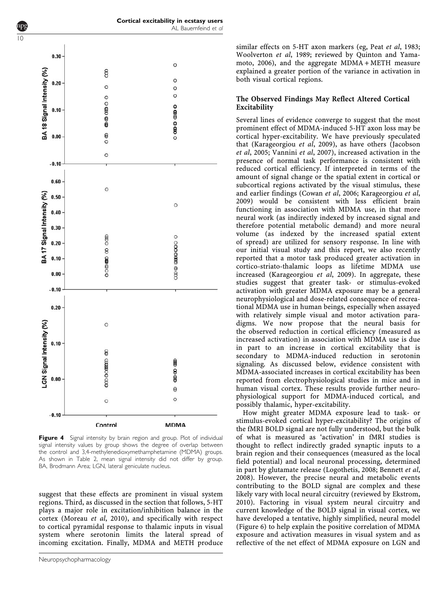

<span id="page-9-0"></span> $\overline{10}$ 

Figure 4 Signal intensity by brain region and group. Plot of individual signal intensity values by group shows the degree of overlap between the control and 3,4-methylenedioxymethamphetamine (MDMA) groups. As shown in [Table 2](#page-6-0), mean signal intensity did not differ by group. BA, Brodmann Area; LGN, lateral geniculate nucleus.

suggest that these effects are prominent in visual system regions. Third, as discussed in the section that follows, 5-HT plays a major role in excitation/inhibition balance in the cortex [\(Moreau](#page-13-0) et al, 2010), and specifically with respect to cortical pyramidal response to thalamic inputs in visual system where serotonin limits the lateral spread of incoming excitation. Finally, MDMA and METH produce

similar effects on 5-HT axon markers (eg, Peat et al[, 1983](#page-14-0); [Woolverton](#page-14-0) et al, 1989; reviewed by [Quinton and Yama](#page-14-0)[moto, 2006](#page-14-0)), and the aggregate MDMA + METH measure explained a greater portion of the variance in activation in both visual cortical regions.

# The Observed Findings May Reflect Altered Cortical Excitability

Several lines of evidence converge to suggest that the most prominent effect of MDMA-induced 5-HT axon loss may be cortical hyper-excitability. We have previously speculated that ([Karageorgiou](#page-13-0) et al, 2009), as have others ([Jacobson](#page-13-0) et al[, 2005](#page-13-0); [Vannini](#page-14-0) et al, 2007), increased activation in the presence of normal task performance is consistent with reduced cortical efficiency. If interpreted in terms of the amount of signal change or the spatial extent in cortical or subcortical regions activated by the visual stimulus, these and earlier findings ([Cowan](#page-12-0) et al, 2006; [Karageorgiou](#page-13-0) et al, [2009](#page-13-0)) would be consistent with less efficient brain functioning in association with MDMA use, in that more neural work (as indirectly indexed by increased signal and therefore potential metabolic demand) and more neural volume (as indexed by the increased spatial extent of spread) are utilized for sensory response. In line with our initial visual study and this report, we also recently reported that a motor task produced greater activation in cortico-striato-thalamic loops as lifetime MDMA use increased [\(Karageorgiou](#page-13-0) et al, 2009). In aggregate, these studies suggest that greater task- or stimulus-evoked activation with greater MDMA exposure may be a general neurophysiological and dose-related consequence of recreational MDMA use in human beings, especially when assayed with relatively simple visual and motor activation paradigms. We now propose that the neural basis for the observed reduction in cortical efficiency (measured as increased activation) in association with MDMA use is due in part to an increase in cortical excitability that is secondary to MDMA-induced reduction in serotonin signaling. As discussed below, evidence consistent with MDMA-associated increases in cortical excitability has been reported from electrophysiological studies in mice and in human visual cortex. These results provide further neurophysiological support for MDMA-induced cortical, and possibly thalamic, hyper-excitability.

How might greater MDMA exposure lead to task- or stimulus-evoked cortical hyper-excitability? The origins of the fMRI BOLD signal are not fully understood, but the bulk of what is measured as 'activation' in fMRI studies is thought to reflect indirectly graded synaptic inputs to a brain region and their consequences (measured as the local field potential) and local neuronal processing, determined in part by glutamate release [\(Logothetis, 2008;](#page-13-0) [Bennett](#page-12-0) et al, [2008](#page-12-0)). However, the precise neural and metabolic events contributing to the BOLD signal are complex and these likely vary with local neural circuitry (reviewed by [Ekstrom,](#page-12-0) [2010](#page-12-0)). Factoring in visual system neural circuitry and current knowledge of the BOLD signal in visual cortex, we have developed a tentative, highly simplified, neural model ([Figure 6\)](#page-10-0) to help explain the positive correlation of MDMA exposure and activation measures in visual system and as reflective of the net effect of MDMA exposure on LGN and

Neuropsychopharmacology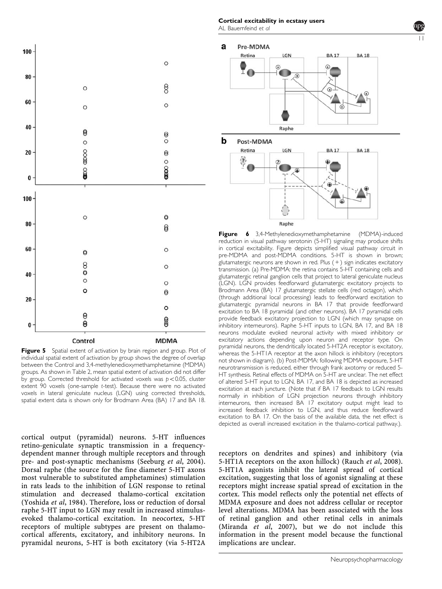<span id="page-10-0"></span>

Figure 5 Spatial extent of activation by brain region and group. Plot of individual spatial extent of activation by group shows the degree of overlap between the Control and 3,4-methylenedioxymethamphetamine (MDMA) groups. As shown in [Table 2](#page-6-0), mean spatial extent of activation did not differ by group. Corrected threshold for activated voxels was  $p < 0.05$ , cluster extent 90 voxels (one-sample t-test). Because there were no activated voxels in lateral geniculate nucleus (LGN) using corrected thresholds, spatial extent data is shown only for Brodmann Area (BA) 17 and BA 18.

cortical output (pyramidal) neurons. 5-HT influences retino-geniculate synaptic transmission in a frequencydependent manner through multiple receptors and through pre- and post-synaptic mechanisms ([Seeburg](#page-14-0) et al, 2004). Dorsal raphe (the source for the fine diameter 5-HT axons most vulnerable to substituted amphetamines) stimulation in rats leads to the inhibition of LGN response to retinal stimulation and decreased thalamo-cortical excitation [\(Yoshida](#page-14-0) et al, 1984). Therefore, loss or reduction of dorsal raphe 5-HT input to LGN may result in increased stimulusevoked thalamo-cortical excitation. In neocortex, 5-HT receptors of multiple subtypes are present on thalamocortical afferents, excitatory, and inhibitory neurons. In pyramidal neurons, 5-HT is both excitatory (via 5-HT2A



11



Figure 6 3,4-Methylenedioxymethamphetamine (MDMA)-induced reduction in visual pathway serotonin (5-HT) signaling may produce shifts in cortical excitability. Figure depicts simplified visual pathway circuit in pre-MDMA and post-MDMA conditions. 5-HT is shown in brown; glutamatergic neurons are shown in red. Plus ( + ) sign indicates excitatory transmission. (a) Pre-MDMA: the retina contains 5-HT containing cells and glutamatergic retinal ganglion cells that project to lateral geniculate nucleus (LGN). LGN provides feedforward glutamatergic excitatory projects to Brodmann Area (BA) 17 glutamatergic stellate cells (red octagon), which (through additional local processing) leads to feedforward excitation to glutamatergic pyramidal neurons in BA 17 that provide feedforward excitation to BA 18 pyramidal (and other neurons). BA 17 pyramidal cells provide feedback excitatory projection to LGN (which may synapse on inhibitory interneurons). Raphe 5-HT inputs to LGN, BA 17, and BA 18 neurons modulate evoked neuronal activity with mixed inhibitory or excitatory actions depending upon neuron and receptor type. On pyramidal neurons, the dendritically located 5-HT2A receptor is excitatory, whereas the 5-HT1A receptor at the axon hillock is inhibitory (receptors not shown in diagram). (b) Post-MDMA: following MDMA exposure, 5-HT neurotransmission is reduced, either through frank axotomy or reduced 5- HT synthesis. Retinal effects of MDMA on 5-HT are unclear. The net effect of altered 5-HT input to LGN, BA 17, and BA 18 is depicted as increased excitation at each juncture. (Note that if BA 17 feedback to LGN results normally in inhibition of LGN projection neurons through inhibitory interneurons, then increased BA 17 excitatory output might lead to increased feedback inhibition to LGN, and thus reduce feedforward excitation to BA 17. On the basis of the available data, the net effect is depicted as overall increased excitation in the thalamo-cortical pathway.).

receptors on dendrites and spines) and inhibitory (via 5-HT1A receptors on the axon hillock) ([Rauch](#page-14-0) et al, 2008). 5-HT1A agonists inhibit the lateral spread of cortical excitation, suggesting that loss of agonist signaling at these receptors might increase spatial spread of excitation in the cortex. This model reflects only the potential net effects of MDMA exposure and does not address cellular or receptor level alterations. MDMA has been associated with the loss of retinal ganglion and other retinal cells in animals [\(Miranda](#page-13-0) et al, 2007), but we do not include this information in the present model because the functional implications are unclear.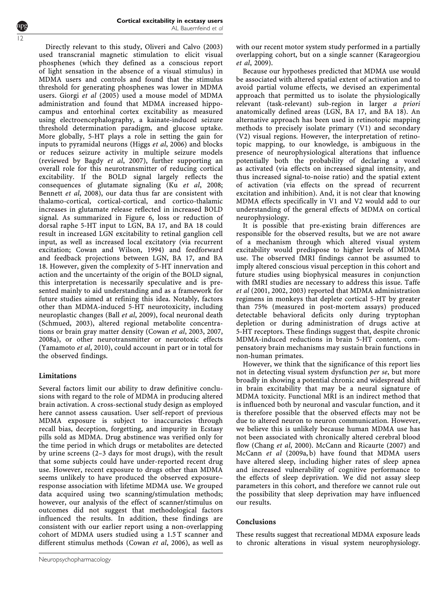Directly relevant to this study, [Oliveri and Calvo \(2003\)](#page-14-0) used transcranial magnetic stimulation to elicit visual phosphenes (which they defined as a conscious report of light sensation in the absence of a visual stimulus) in MDMA users and controls and found that the stimulus threshold for generating phosphenes was lower in MDMA users. [Giorgi](#page-13-0) et al (2005) used a mouse model of MDMA administration and found that MDMA increased hippocampus and entorhinal cortex excitability as measured using electroencephalography, a kainate-induced seizure threshold determination paradigm, and glucose uptake. More globally, 5-HT plays a role in setting the gain for inputs to pyramidal neurons (Higgs et al[, 2006\)](#page-13-0) and blocks or reduces seizure activity in multiple seizure models (reviewed by Bagdy et al[, 2007](#page-12-0)), further supporting an overall role for this neurotransmitter of reducing cortical excitability. If the BOLD signal largely reflects the consequences of glutamate signaling (Ku et al[, 2008](#page-13-0); [Bennett](#page-12-0) et al, 2008), our data thus far are consistent with thalamo-cortical, cortical-cortical, and cortico-thalamic increases in glutamate release reflected in increased BOLD signal. As summarized in [Figure 6](#page-10-0), loss or reduction of dorsal raphe 5-HT input to LGN, BA 17, and BA 18 could result in increased LGN excitability to retinal ganglion cell input, as well as increased local excitatory (via recurrent excitation; [Cowan and Wilson, 1994\)](#page-12-0) and feedforward and feedback projections between LGN, BA 17, and BA 18. However, given the complexity of 5-HT innervation and action and the uncertainty of the origin of the BOLD signal, this interpretation is necessarily speculative and is presented mainly to aid understanding and as a framework for future studies aimed at refining this idea. Notably, factors other than MDMA-induced 5-HT neurotoxicity, including neuroplastic changes (Ball et al[, 2009](#page-12-0)), focal neuronal death ([Schmued, 2003](#page-14-0)), altered regional metabolite concentrations or brain gray matter density (Cowan et al[, 2003, 2007,](#page-12-0) [2008a](#page-12-0)), or other neurotransmitter or neurotoxic effects ([Yamamoto](#page-14-0) et al, 2010), could account in part or in total for the observed findings.

# Limitations

Several factors limit our ability to draw definitive conclusions with regard to the role of MDMA in producing altered brain activation. A cross-sectional study design as employed here cannot assess causation. User self-report of previous MDMA exposure is subject to inaccuracies through recall bias, deception, forgetting, and impurity in Ecstasy pills sold as MDMA. Drug abstinence was verified only for the time period in which drugs or metabolites are detected by urine screens (2–3 days for most drugs), with the result that some subjects could have under-reported recent drug use. However, recent exposure to drugs other than MDMA seems unlikely to have produced the observed exposure– response association with lifetime MDMA use. We grouped data acquired using two scanning/stimulation methods; however, our analysis of the effect of scanner/stimulus on outcomes did not suggest that methodological factors influenced the results. In addition, these findings are consistent with our earlier report using a non-overlapping cohort of MDMA users studied using a 1.5 T scanner and different stimulus methods ([Cowan](#page-12-0) et al, 2006), as well as

with our recent motor system study performed in a partially overlapping cohort, but on a single scanner [\(Karageorgiou](#page-13-0) et al[, 2009\)](#page-13-0).

Because our hypotheses predicted that MDMA use would be associated with altered spatial extent of activation and to avoid partial volume effects, we devised an experimental approach that permitted us to isolate the physiologically relevant (task-relevant) sub-region in larger a priori anatomically defined areas (LGN, BA 17, and BA 18). An alternative approach has been used in retinotopic mapping methods to precisely isolate primary (V1) and secondary (V2) visual regions. However, the interpretation of retinotopic mapping, to our knowledge, is ambiguous in the presence of neurophysiological alterations that influence potentially both the probability of declaring a voxel as activated (via effects on increased signal intensity, and thus increased signal-to-noise ratio) and the spatial extent of activation (via effects on the spread of recurrent excitation and inhibition). And, it is not clear that knowing MDMA effects specifically in V1 and V2 would add to our understanding of the general effects of MDMA on cortical neurophysiology.

It is possible that pre-existing brain differences are responsible for the observed results, but we are not aware of a mechanism through which altered visual system excitability would predispose to higher levels of MDMA use. The observed fMRI findings cannot be assumed to imply altered conscious visual perception in this cohort and future studies using biophysical measures in conjunction with fMRI studies are necessary to address this issue. [Taffe](#page-14-0) et al [\(2001, 2002, 2003\)](#page-14-0) reported that MDMA administration regimens in monkeys that deplete cortical 5-HT by greater than 75% (measured in post-mortem assays) produced detectable behavioral deficits only during tryptophan depletion or during administration of drugs active at 5-HT receptors. These findings suggest that, despite chronic MDMA-induced reductions in brain 5-HT content, compensatory brain mechanisms may sustain brain functions in non-human primates.

However, we think that the significance of this report lies not in detecting visual system dysfunction per se, but more broadly in showing a potential chronic and widespread shift in brain excitability that may be a neural signature of MDMA toxicity. Functional MRI is an indirect method that is influenced both by neuronal and vascular function, and it is therefore possible that the observed effects may not be due to altered neuron to neuron communication. However, we believe this is unlikely because human MDMA use has not been associated with chronically altered cerebral blood flow ([Chang](#page-12-0) *et al*, 2000). [McCann and Ricaurte \(2007\)](#page-13-0) and McCann et al [\(2009a, b\)](#page-13-0) have found that MDMA users have altered sleep, including higher rates of sleep apnea and increased vulnerability of cognitive performance to the effects of sleep deprivation. We did not assay sleep parameters in this cohort, and therefore we cannot rule out the possibility that sleep deprivation may have influenced our results.

# Conclusions

These results suggest that recreational MDMA exposure leads to chronic alterations in visual system neurophysiology.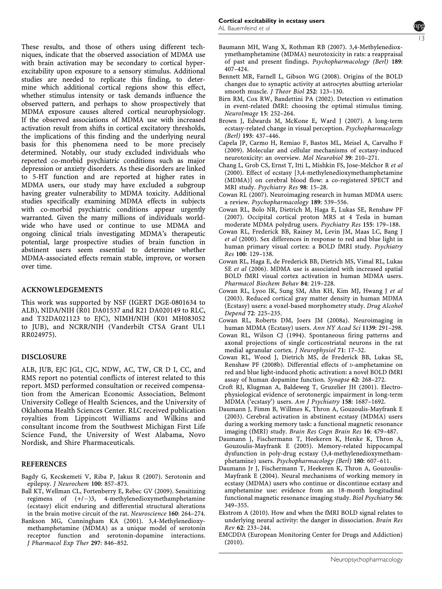<span id="page-12-0"></span>These results, and those of others using different techniques, indicate that the observed association of MDMA use with brain activation may be secondary to cortical hyperexcitability upon exposure to a sensory stimulus. Additional studies are needed to replicate this finding, to determine which additional cortical regions show this effect, whether stimulus intensity or task demands influence the observed pattern, and perhaps to show prospectively that MDMA exposure causes altered cortical neurophysiology. If the observed associations of MDMA use with increased activation result from shifts in cortical excitatory thresholds, the implications of this finding and the underlying neural basis for this phenomena need to be more precisely determined. Notably, our study excluded individuals who reported co-morbid psychiatric conditions such as major depression or anxiety disorders. As these disorders are linked to 5-HT function and are reported at higher rates in MDMA users, our study may have excluded a subgroup having greater vulnerability to MDMA toxicity. Additional studies specifically examining MDMA effects in subjects with co-morbid psychiatric conditions appear urgently warranted. Given the many millions of individuals worldwide who have used or continue to use MDMA and ongoing clinical trials investigating MDMA's therapeutic potential, large prospective studies of brain function in abstinent users seem essential to determine whether MDMA-associated effects remain stable, improve, or worsen over time.

# ACKNOWLEDGEMENTS

This work was supported by NSF (IGERT DGE-0801634 to ALB), NIDA/NIH (R01 DA01537 and R21 DA020149 to RLC, and T32DA021123 to EJC), NIMH/NIH (K01 MH083052 to JUB), and NCRR/NIH (Vanderbilt CTSA Grant UL1 RR024975).

## DISCLOSURE

ALB, JUB, EJC JGL, CJC, NDW, AC, TW, CR D I, CC, and RMS report no potential conflicts of interest related to this report. MSD performed consultation or received compensation from the American Economic Association, Belmont University College of Health Sciences, and the University of Oklahoma Health Sciences Center. RLC received publication royalties from Lippincott Williams and Wilkins and consultant income from the Southwest Michigan First Life Science Fund, the University of West Alabama, Novo Nordisk, and Shire Pharmaceuticals.

# REFERENCES

- Bagdy G, Kecskemeti V, Riba P, Jakus R (2007). Serotonin and epilepsy. J Neurochem 100: 857–873.
- Ball KT, Wellman CL, Fortenberry E, Rebec GV (2009). Sensitizing regimens of  $(+/-)3$ , 4-methylenedioxymethamphetamine (ecstasy) elicit enduring and differential structural alterations in the brain motive circuit of the rat. Neuroscience 160: 264–274.
- Bankson MG, Cunningham KA (2001). 3,4-Methylenedioxymethamphetamine (MDMA) as a unique model of serotonin receptor function and serotonin-dopamine interactions. J Pharmacol Exp Ther 297: 846–852.
- Baumann MH, Wang X, Rothman RB (2007). 3,4-Methylenedioxymethamphetamine (MDMA) neurotoxicity in rats: a reappraisal of past and present findings. Psychopharmacology (Berl) 189: 407–424.
- Bennett MR, Farnell L, Gibson WG (2008). Origins of the BOLD changes due to synaptic activity at astrocytes abutting arteriolar smooth muscle. *J Theor Biol* 252: 123-130.
- Birn RM, Cox RW, Bandettini PA (2002). Detection vs estimation in event-related fMRI: choosing the optimal stimulus timing. NeuroImage 15: 252–264.
- Brown J, Edwards M, McKone E, Ward J (2007). A long-term ecstasy-related change in visual perception. Psychopharmacology (Berl) 193: 437–446.
- Capela JP, Carmo H, Remiao F, Bastos ML, Meisel A, Carvalho F (2009). Molecular and cellular mechanisms of ecstasy-induced neurotoxicity: an overview. Mol Neurobiol 39: 210–271.
- Chang L, Grob CS, Ernst T, Itti L, Mishkin FS, Jose-Melchor R et al (2000). Effect of ecstasy [3,4-methylenedioxymethamphetamine (MDMA)] on cerebral blood flow: a co-registered SPECT and MRI study. Psychiatry Res 98: 15–28.
- Cowan RL (2007). Neuroimaging research in human MDMA users: a review. Psychopharmacology 189: 539–556.
- Cowan RL, Bolo NR, Dietrich M, Haga E, Lukas SE, Renshaw PF (2007). Occipital cortical proton MRS at 4 Tesla in human moderate MDMA polydrug users. Psychiatry Res 155: 179–188.
- Cowan RL, Frederick BB, Rainey M, Levin JM, Maas LC, Bang J et al (2000). Sex differences in response to red and blue light in human primary visual cortex: a BOLD fMRI study. Psychiatry Res 100: 129–138.
- Cowan RL, Haga E, de Frederick BB, Dietrich MS, Vimal RL, Lukas SE et al (2006). MDMA use is associated with increased spatial BOLD fMRI visual cortex activation in human MDMA users. Pharmacol Biochem Behav 84: 219–228.
- Cowan RL, Lyoo IK, Sung SM, Ahn KH, Kim MJ, Hwang J et al (2003). Reduced cortical gray matter density in human MDMA (Ecstasy) users: a voxel-based morphometry study. Drug Alcohol Depend 72: 225–235.
- Cowan RL, Roberts DM, Joers JM (2008a). Neuroimaging in human MDMA (Ecstasy) users. Ann NY Acad Sci 1139: 291–298.
- Cowan RL, Wilson CJ (1994). Spontaneous firing patterns and axonal projections of single corticostriatal neurons in the rat medial agranular cortex. J Neurophysiol 71: 17–32.
- Cowan RL, Wood J, Dietrich MS, de Frederick BB, Lukas SE, Renshaw PF (2008b). Differential effects of D-amphetamine on red and blue light-induced photic activation: a novel BOLD fMRI assay of human dopamine function. Synapse 62: 268–272.
- Croft RJ, Klugman A, Baldeweg T, Gruzelier JH (2001). Electrophysiological evidence of serotonergic impairment in long-term MDMA ('ecstasy') users. Am J Psychiatry 158: 1687–1692.
- Daumann J, Fimm B, Willmes K, Thron A, Gouzoulis-Mayfrank E (2003). Cerebral activation in abstinent ecstasy (MDMA) users during a working memory task: a functional magnetic resonance imaging (fMRI) study. Brain Res Cogn Brain Res 16: 479–487.
- Daumann J, Fischermann T, Heekeren K, Henke K, Thron A, Gouzoulis-Mayfrank E (2005). Memory-related hippocampal dysfunction in poly-drug ecstasy (3,4-methylenedioxymethamphetamine) users. Psychopharmacology (Berl) 180: 607–611.
- Daumann Jr J, Fischermann T, Heekeren K, Thron A, Gouzoulis-Mayfrank E (2004). Neural mechanisms of working memory in ecstasy (MDMA) users who continue or discontinue ecstasy and amphetamine use: evidence from an 18-month longitudinal functional magnetic resonance imaging study. Biol Psychiatry 56: 349–355.
- Ekstrom A (2010). How and when the fMRI BOLD signal relates to underlying neural activity: the danger in dissociation. Brain Res Rev 62: 233–244.
- EMCDDA (European Monitoring Center for Drugs and Addiction) (2010).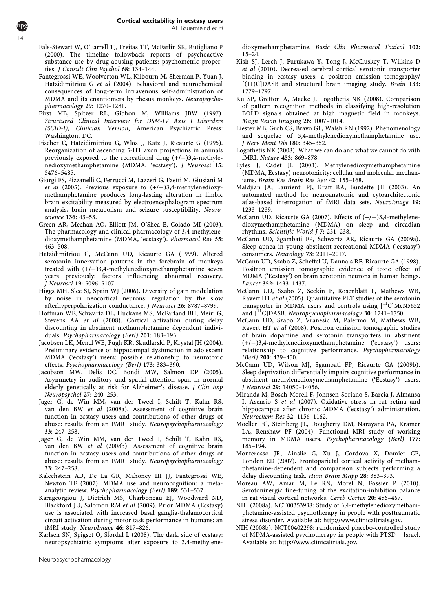- <span id="page-13-0"></span>Fals-Stewart W, O'Farrell TJ, Freitas TT, McFarlin SK, Rutigliano P (2000). The timeline followback reports of psychoactive substance use by drug-abusing patients: psychometric properties. J Consult Clin Psychol 68: 134–144.
- Fantegrossi WE, Woolverton WL, Kilbourn M, Sherman P, Yuan J, Hatzidimitriou G et al (2004). Behavioral and neurochemical consequences of long-term intravenous self-administration of MDMA and its enantiomers by rhesus monkeys. Neuropsychopharmacology 29: 1270–1281.
- First MB, Spitzer RL, Gibbon M, Williams JBW (1997). Structured Clinical Interview for DSM-IV Axis I Disorders (SCID-I), Clinician Version, American Psychiatric Press: Washington, DC.
- Fischer C, Hatzidimitriou G, Wlos J, Katz J, Ricaurte G (1995). Reorganization of ascending 5-HT axon projections in animals previously exposed to the recreational drug  $(+/-)$ 3,4-methylenedioxymethamphetamine (MDMA, 'ecstasy'). J Neurosci 15: 5476–5485.
- Giorgi FS, Pizzanelli C, Ferrucci M, Lazzeri G, Faetti M, Giusiani M et al (2005). Previous exposure to  $(+/-)$ 3,4-methylenedioxymethamphetamine produces long-lasting alteration in limbic brain excitability measured by electroencephalogram spectrum analysis, brain metabolism and seizure susceptibility. Neuroscience 136: 43–53.
- Green AR, Mechan AO, Elliott JM, O'Shea E, Colado MI (2003). The pharmacology and clinical pharmacology of 3,4-methylenedioxymethamphetamine (MDMA, 'ecstasy'). Pharmacol Rev 55: 463–508.
- Hatzidimitriou G, McCann UD, Ricaurte GA (1999). Altered serotonin innervation patterns in the forebrain of monkeys treated with  $(+/-)$ 3,4-methylenedioxymethamphetamine seven years previously: factors influencing abnormal recovery. J Neurosci 19: 5096–5107.
- Higgs MH, Slee SJ, Spain WJ (2006). Diversity of gain modulation by noise in neocortical neurons: regulation by the slow afterhyperpolarization conductance. J Neurosci 26: 8787–8799.
- Hoffman WF, Schwartz DL, Huckans MS, McFarland BH, Meiri G, Stevens AA et al (2008). Cortical activation during delay discounting in abstinent methamphetamine dependent individuals. Psychopharmacology (Berl) 201: 183–193.
- Jacobsen LK, Mencl WE, Pugh KR, Skudlarski P, Krystal JH (2004). Preliminary evidence of hippocampal dysfunction in adolescent MDMA ('ecstasy') users: possible relationship to neurotoxic effects. Psychopharmacology (Berl) 173: 383–390.
- Jacobson MW, Delis DC, Bondi MW, Salmon DP (2005). Asymmetry in auditory and spatial attention span in normal elderly genetically at risk for Alzheimer's disease. J Clin Exp Neuropsychol 27: 240–253.
- Jager G, de Win MM, van der Tweel I, Schilt T, Kahn RS, van den BW et al (2008a). Assessment of cognitive brain function in ecstasy users and contributions of other drugs of abuse: results from an FMRI study. Neuropsychopharmacology 33: 247–258.
- Jager G, de Win MM, van der Tweel I, Schilt T, Kahn RS, van den BW et al (2008b). Assessment of cognitive brain function in ecstasy users and contributions of other drugs of abuse: results from an FMRI study. Neuropsychopharmacology 33: 247–258.
- Kalechstein AD, De La GR, Mahoney III JJ, Fantegrossi WE, Newton TF (2007). MDMA use and neurocognition: a metaanalytic review. Psychopharmacology (Berl) 189: 531–537.
- Karageorgiou J, Dietrich MS, Charboneau EJ, Woodward ND, Blackford JU, Salomon RM et al (2009). Prior MDMA (Ecstasy) use is associated with increased basal ganglia-thalamocortical circuit activation during motor task performance in humans: an fMRI study. NeuroImage 46: 817–826.
- Karlsen SN, Spigset O, Slordal L (2008). The dark side of ecstasy: neuropsychiatric symptoms after exposure to 3,4-methylene-

dioxymethamphetamine. Basic Clin Pharmacol Toxicol 102: 15–24.

- Kish SJ, Lerch J, Furukawa Y, Tong J, McCluskey T, Wilkins D et al (2010). Decreased cerebral cortical serotonin transporter binding in ecstasy users: a positron emission tomography/ [(11)C]DASB and structural brain imaging study. Brain 133: 1779–1797.
- Ku SP, Gretton A, Macke J, Logothetis NK (2008). Comparison of pattern recognition methods in classifying high-resolution BOLD signals obtained at high magnetic field in monkeys. Magn Reson Imaging 26: 1007–1014.
- Liester MB, Grob CS, Bravo GL, Walsh RN (1992). Phenomenology and sequelae of 3,4-methylenedioxymethamphetamine use. J Nerv Ment Dis 180: 345–352.
- Logothetis NK (2008). What we can do and what we cannot do with fMRI. Nature 453: 869–878.
- Lyles J, Cadet JL (2003). Methylenedioxymethamphetamine (MDMA, Ecstasy) neurotoxicity: cellular and molecular mechanisms. Brain Res Brain Res Rev 42: 155–168.
- Maldjian JA, Laurienti PJ, Kraft RA, Burdette JH (2003). An automated method for neuroanatomic and cytoarchitectonic atlas-based interrogation of fMRI data sets. NeuroImage 19: 1233–1239.
- McCann UD, Ricaurte GA (2007). Effects of  $(+/-)3,4$ -methylenedioxymethamphetamine (MDMA) on sleep and circadian rhythms. Scientific World J 7: 231–238.
- McCann UD, Sgambati FP, Schwartz AR, Ricaurte GA (2009a). Sleep apnea in young abstinent recreational MDMA ('ecstasy') consumers. Neurology 73: 2011–2017.
- McCann UD, Szabo Z, Scheffel U, Dannals RF, Ricaurte GA (1998). Positron emission tomographic evidence of toxic effect of MDMA ('Ecstasy') on brain serotonin neurons in human beings. Lancet 352: 1433–1437.
- McCann UD, Szabo Z, Seckin E, Rosenblatt P, Mathews WB, Ravert HT et al (2005). Quantitative PET studies of the serotonin transporter in MDMA users and controls using  $[{}^{11}C]$ McN5652 and  $[$ <sup>11</sup>C]DASB. Neuropsychopharmacology 30: 1741-1750.
- McCann UD, Szabo Z, Vranesic M, Palermo M, Mathews WB, Ravert HT et al (2008). Positron emission tomographic studies of brain dopamine and serotonin transporters in abstinent (+/)3,4-methylenedioxymethamphetamine ('ecstasy') users: relationship to cognitive performance. Psychopharmacology (Berl) 200: 439–450.
- McCann UD, Wilson MJ, Sgambati FP, Ricaurte GA (2009b). Sleep deprivation differentially impairs cognitive performance in abstinent methylenedioxymethamphetamine ('Ecstasy') users. J Neurosci 29: 14050–14056.
- Miranda M, Bosch-Morell F, Johnsen-Soriano S, Barcia J, Almansa I, Asensio S et al (2007). Oxidative stress in rat retina and hippocampus after chronic MDMA ('ecstasy') administration. Neurochem Res 32: 1156–1162.
- Moeller FG, Steinberg JL, Dougherty DM, Narayana PA, Kramer LA, Renshaw PF (2004). Functional MRI study of working memory in MDMA users. Psychopharmacology (Berl) 177: 185–194.
- Monterosso JR, Ainslie G, Xu J, Cordova X, Domier CP, London ED (2007). Frontoparietal cortical activity of methamphetamine-dependent and comparison subjects performing a delay discounting task. Hum Brain Mapp 28: 383–393.
- Moreau AW, Amar M, Le RN, Morel N, Fossier P (2010). Serotoninergic fine-tuning of the excitation-inhibition balance in rat visual cortical networks. Cereb Cortex 20: 456–467.
- NIH (2008a). NCT00353938: Study of 3,4-methylenedioxymethamphetamine-assisted psychotherapy in people with posttraumatic stress disorder. Available at:<http://www.clinicaltrials.gov>.
- NIH (2008b). NCT00402298: randomized placebo-controlled study of MDMA-assisted psychotherapy in people with PTSD—Israel. Available at: [http://www.clinicaltrials.gov](http://www.clinicaltrials.gov.).